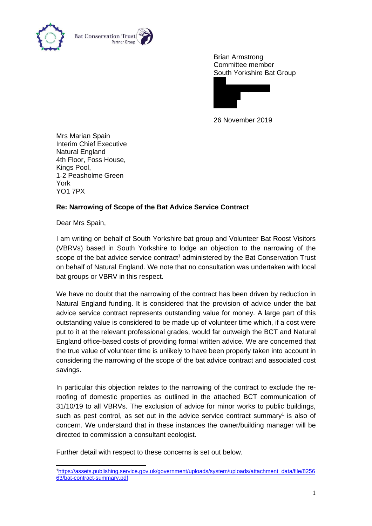

Brian Armstrong Committee member South Yorkshire Bat Group



26 November 2019

Mrs Marian Spain Interim Chief Executive Natural England 4th Floor, Foss House, Kings Pool, 1-2 Peasholme Green York YO1 7PX

## **Re: Narrowing of Scope of the Bat Advice Service Contract**

Dear Mrs Spain,

I am writing on behalf of South Yorkshire bat group and Volunteer Bat Roost Visitors (VBRVs) based in South Yorkshire to lodge an objection to the narrowing of the scope of the bat advice service contract<sup>1</sup> administered by the Bat Conservation Trust on behalf of Natural England. We note that no consultation was undertaken with local bat groups or VBRV in this respect.

We have no doubt that the narrowing of the contract has been driven by reduction in Natural England funding. It is considered that the provision of advice under the bat advice service contract represents outstanding value for money. A large part of this outstanding value is considered to be made up of volunteer time which, if a cost were put to it at the relevant professional grades, would far outweigh the BCT and Natural England office-based costs of providing formal written advice. We are concerned that the true value of volunteer time is unlikely to have been properly taken into account in considering the narrowing of the scope of the bat advice contract and associated cost savings.

In particular this objection relates to the narrowing of the contract to exclude the reroofing of domestic properties as outlined in the attached BCT communication of 31/10/19 to all VBRVs. The exclusion of advice for minor works to public buildings, such as pest control, as set out in the advice service contract summary<sup>1</sup> is also of concern. We understand that in these instances the owner/building manager will be directed to commission a consultant ecologist.

Further detail with respect to these concerns is set out below.

<sup>1</sup>[https://assets.publishing.service.gov.uk/government/uploads/system/uploads/attachment\\_data/file/8256](https://assets.publishing.service.gov.uk/government/uploads/system/uploads/attachment_data/file/825663/bat-contract-summary.pdf) [63/bat-contract-summary.pdf](https://assets.publishing.service.gov.uk/government/uploads/system/uploads/attachment_data/file/825663/bat-contract-summary.pdf)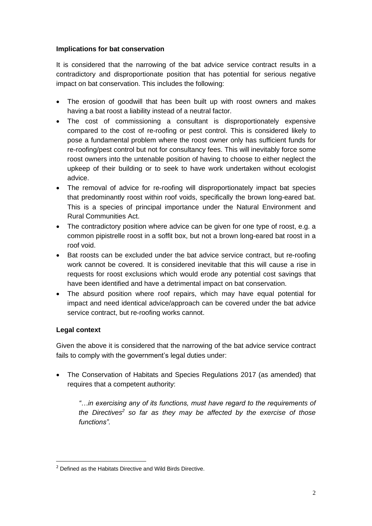## **Implications for bat conservation**

It is considered that the narrowing of the bat advice service contract results in a contradictory and disproportionate position that has potential for serious negative impact on bat conservation. This includes the following:

- The erosion of goodwill that has been built up with roost owners and makes having a bat roost a liability instead of a neutral factor.
- The cost of commissioning a consultant is disproportionately expensive compared to the cost of re-roofing or pest control. This is considered likely to pose a fundamental problem where the roost owner only has sufficient funds for re-roofing/pest control but not for consultancy fees. This will inevitably force some roost owners into the untenable position of having to choose to either neglect the upkeep of their building or to seek to have work undertaken without ecologist advice.
- The removal of advice for re-roofing will disproportionately impact bat species that predominantly roost within roof voids, specifically the brown long-eared bat. This is a species of principal importance under the Natural Environment and Rural Communities Act.
- The contradictory position where advice can be given for one type of roost, e.g. a common pipistrelle roost in a soffit box, but not a brown long-eared bat roost in a roof void.
- Bat roosts can be excluded under the bat advice service contract, but re-roofing work cannot be covered. It is considered inevitable that this will cause a rise in requests for roost exclusions which would erode any potential cost savings that have been identified and have a detrimental impact on bat conservation.
- The absurd position where roof repairs, which may have equal potential for impact and need identical advice/approach can be covered under the bat advice service contract, but re-roofing works cannot.

## **Legal context**

Given the above it is considered that the narrowing of the bat advice service contract fails to comply with the government's legal duties under:

• The Conservation of Habitats and Species Regulations 2017 (as amended) that requires that a competent authority:

*"…in exercising any of its functions, must have regard to the requirements of the Directives<sup>2</sup> so far as they may be affected by the exercise of those functions".*

<sup>&</sup>lt;sup>2</sup> Defined as the Habitats Directive and Wild Birds Directive.